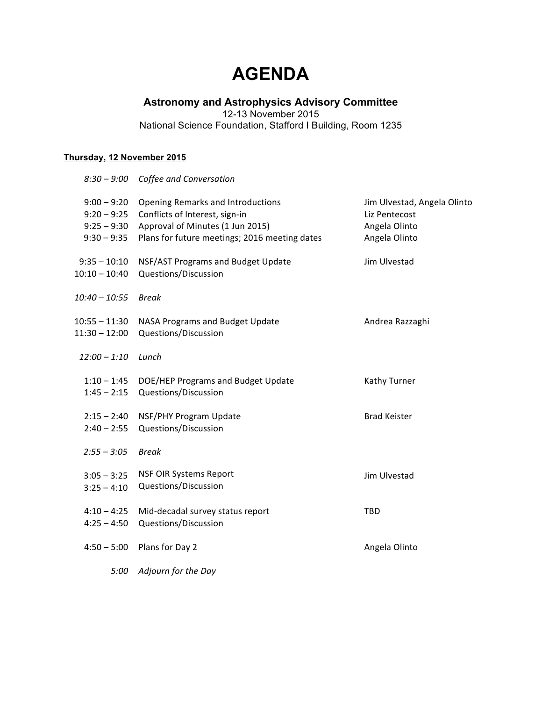# **AGENDA**

# **Astronomy and Astrophysics Advisory Committee**

12-13 November 2015

National Science Foundation, Stafford I Building, Room 1235

# **Thursday, 12 November 2015**

|                                                                  | 8:30 - 9:00 Coffee and Conversation                                                                                                                      |                                                                                |
|------------------------------------------------------------------|----------------------------------------------------------------------------------------------------------------------------------------------------------|--------------------------------------------------------------------------------|
| $9:00 - 9:20$<br>$9:20 - 9:25$<br>$9:25 - 9:30$<br>$9:30 - 9:35$ | Opening Remarks and Introductions<br>Conflicts of Interest, sign-in<br>Approval of Minutes (1 Jun 2015)<br>Plans for future meetings; 2016 meeting dates | Jim Ulvestad, Angela Olinto<br>Liz Pentecost<br>Angela Olinto<br>Angela Olinto |
| $9:35 - 10:10$<br>$10:10 - 10:40$                                | NSF/AST Programs and Budget Update<br>Questions/Discussion                                                                                               | Jim Ulvestad                                                                   |
| $10:40 - 10:55$                                                  | <b>Break</b>                                                                                                                                             |                                                                                |
| $10:55 - 11:30$<br>$11:30 - 12:00$                               | NASA Programs and Budget Update<br>Questions/Discussion                                                                                                  | Andrea Razzaghi                                                                |
| $12:00 - 1:10$                                                   | Lunch                                                                                                                                                    |                                                                                |
| $1:45 - 2:15$                                                    | 1:10 - 1:45 DOE/HEP Programs and Budget Update<br>Questions/Discussion                                                                                   | Kathy Turner                                                                   |
| $2:15 - 2:40$<br>$2:40 - 2:55$                                   | NSF/PHY Program Update<br>Questions/Discussion                                                                                                           | <b>Brad Keister</b>                                                            |
| $2:55 - 3:05$                                                    | <b>Break</b>                                                                                                                                             |                                                                                |
| $3:05 - 3:25$<br>$3:25 - 4:10$                                   | <b>NSF OIR Systems Report</b><br>Questions/Discussion                                                                                                    | Jim Ulvestad                                                                   |
| $4:10 - 4:25$<br>$4:25 - 4:50$                                   | Mid-decadal survey status report<br>Questions/Discussion                                                                                                 | TBD                                                                            |
| $4:50 - 5:00$                                                    | Plans for Day 2                                                                                                                                          | Angela Olinto                                                                  |
| 5:00                                                             | Adjourn for the Day                                                                                                                                      |                                                                                |